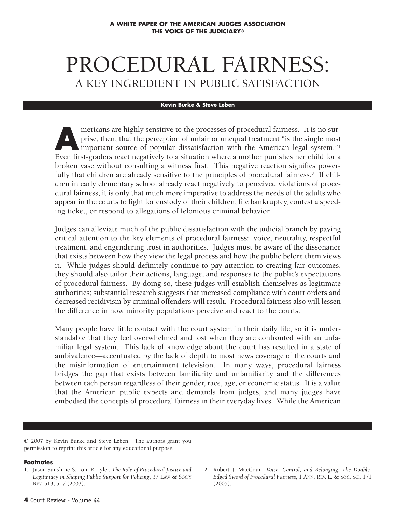# PROCEDURAL FAIRNESS: A KEY INGREDIENT IN PUBLIC SATISFACTION

#### **Kevin Burke & Steve Leben**

mericans are highly sensitive to the processes of procedural fairness. It is no sur-<br>prise, then, that the perception of unfair or unequal treatment "is the single most<br>important source of popular dissatisfaction where a m prise, then, that the perception of unfair or unequal treatment "is the single most important source of popular dissatisfaction with the American legal system."1 Even first-graders react negatively to a situation where a mother punishes her child for a broken vase without consulting a witness first. This negative reaction signifies powerfully that children are already sensitive to the principles of procedural fairness.<sup>2</sup> If children in early elementary school already react negatively to perceived violations of procedural fairness, it is only that much more imperative to address the needs of the adults who appear in the courts to fight for custody of their children, file bankruptcy, contest a speeding ticket, or respond to allegations of felonious criminal behavior.

Judges can alleviate much of the public dissatisfaction with the judicial branch by paying critical attention to the key elements of procedural fairness: voice, neutrality, respectful treatment, and engendering trust in authorities. Judges must be aware of the dissonance that exists between how they view the legal process and how the public before them views it. While judges should definitely continue to pay attention to creating fair outcomes, they should also tailor their actions, language, and responses to the public's expectations of procedural fairness. By doing so, these judges will establish themselves as legitimate authorities; substantial research suggests that increased compliance with court orders and decreased recidivism by criminal offenders will result. Procedural fairness also will lessen the difference in how minority populations perceive and react to the courts.

Many people have little contact with the court system in their daily life, so it is understandable that they feel overwhelmed and lost when they are confronted with an unfamiliar legal system. This lack of knowledge about the court has resulted in a state of ambivalence—accentuated by the lack of depth to most news coverage of the courts and the misinformation of entertainment television. In many ways, procedural fairness bridges the gap that exists between familiarity and unfamiliarity and the differences between each person regardless of their gender, race, age, or economic status. It is a value that the American public expects and demands from judges, and many judges have embodied the concepts of procedural fairness in their everyday lives. While the American

© 2007 by Kevin Burke and Steve Leben. The authors grant you permission to reprint this article for any educational purpose.

#### **Footnotes**

2. Robert J. MacCoun, *Voice, Control, and Belonging: The Double-Edged Sword of Procedural Fairness,* 1 ANN. REV. L. & SOC. SCI. 171 (2005).

<sup>1.</sup> Jason Sunshine & Tom R. Tyler, *The Role of Procedural Justice and Legitimacy in Shaping Public Support for Policing*, 37 LAW & SOC'Y REV. 513, 517 (2003).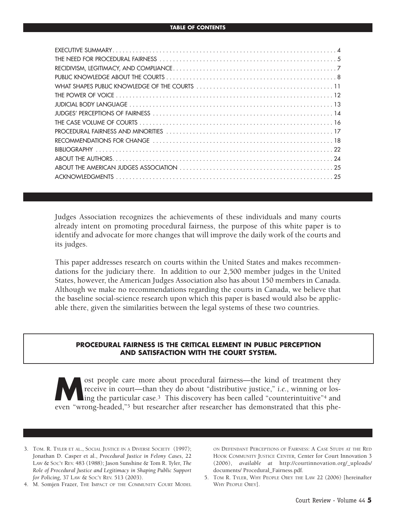Judges Association recognizes the achievements of these individuals and many courts already intent on promoting procedural fairness, the purpose of this white paper is to identify and advocate for more changes that will improve the daily work of the courts and its judges.

This paper addresses research on courts within the United States and makes recommendations for the judiciary there. In addition to our 2,500 member judges in the United States, however, the American Judges Association also has about 150 members in Canada. Although we make no recommendations regarding the courts in Canada, we believe that the baseline social-science research upon which this paper is based would also be applicable there, given the similarities between the legal systems of these two countries.

#### **PROCEDURAL FAIRNESS IS THE CRITICAL ELEMENT IN PUBLIC PERCEPTION AND SATISFACTION WITH THE COURT SYSTEM.**

**Most people care more about procedural fairness—the kind of treatment they receive in court—than they do about "distributive justice,"** *i.e.***, winning or losing the particular case.<sup>3</sup> This discovery has been called "coun** receive in court—than they do about "distributive justice," *i.e.*, winning or losling the particular case.<sup>3</sup> This discovery has been called "counterintuitive"<sup>4</sup> and even "wrong-headed,"5 but researcher after researcher has demonstrated that this phe-

- 3. TOM. R. TYLER ET AL., SOCIAL JUSTICE IN A DIVERSE SOCIETY (1997); Jonathan D. Casper et al., *Procedural Justice in Felony Cases*, 22 LAW & SOC'Y REV. 483 (1988); Jason Sunshine & Tom R. Tyler, *The Role of Procedural Justice and Legitimacy in Shaping Public Support for Policing*, 37 LAW & SOC'Y REV. 513 (2003).
- 4. M. Somjen Frazer, THE IMPACT OF THE COMMUNITY COURT MODEL

ON DEFENDANT PERCEPTIONS OF FAIRNESS: A CASE STUDY AT THE RED HOOK COMMUNITY JUSTICE CENTER*,* Center for Court Innovation 3 (2006), *available at* http://courtinnovation.org/\_uploads/ documents/ Procedural\_Fairness.pdf.

5. TOM R. TYLER, WHY PEOPLE OBEY THE LAW 22 (2006) [hereinafter WHY PEOPLE OBEY].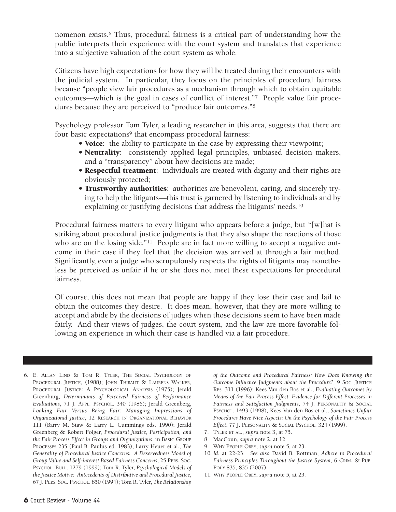nomenon exists.<sup>6</sup> Thus, procedural fairness is a critical part of understanding how the public interprets their experience with the court system and translates that experience into a subjective valuation of the court system as whole.

Citizens have high expectations for how they will be treated during their encounters with the judicial system. In particular, they focus on the principles of procedural fairness because "people view fair procedures as a mechanism through which to obtain equitable outcomes—which is the goal in cases of conflict of interest."7 People value fair procedures because they are perceived to "produce fair outcomes."8

Psychology professor Tom Tyler, a leading researcher in this area, suggests that there are four basic expectations<sup>9</sup> that encompass procedural fairness:

- **Voice**: the ability to participate in the case by expressing their viewpoint;
- **Neutrality**: consistently applied legal principles, unbiased decision makers, and a "transparency" about how decisions are made;
- **Respectful treatment**: individuals are treated with dignity and their rights are obviously protected;
- **Trustworthy authorities**: authorities are benevolent, caring, and sincerely trying to help the litigants—this trust is garnered by listening to individuals and by explaining or justifying decisions that address the litigants' needs.10

Procedural fairness matters to every litigant who appears before a judge, but "[w]hat is striking about procedural justice judgments is that they also shape the reactions of those who are on the losing side."<sup>11</sup> People are in fact more willing to accept a negative outcome in their case if they feel that the decision was arrived at through a fair method. Significantly, even a judge who scrupulously respects the rights of litigants may nonetheless be perceived as unfair if he or she does not meet these expectations for procedural fairness.

Of course, this does not mean that people are happy if they lose their case and fail to obtain the outcomes they desire. It does mean, however, that they are more willing to accept and abide by the decisions of judges when those decisions seem to have been made fairly. And their views of judges, the court system, and the law are more favorable following an experience in which their case is handled via a fair procedure.

6. E. ALLAN LIND & TOM R. TYLER, THE SOCIAL PSYCHOLOGY OF PROCEDURAL JUSTICE, (1988); JOHN THIBAUT & LAURENS WALKER, PROCEDURAL JUSTICE: A PSYCHOLOGICAL ANALYSIS (1975); Jerald Greenburg, *Determinants of Perceived Fairness of Performance Evaluations*, 71 J. APPL. PSYCHOL. 340 (1986); Jerald Greenberg, *Looking Fair Versus Being Fair: Managing Impressions of Organizational Justice*, 12 RESEARCH IN ORGANIZATIONAL BEHAVIOR 111 (Barry M. Staw & Larry L. Cummings eds. 1990); Jerald Greenberg & Robert Folger, *Procedural Justice, Participation, and the Fair Process Effect in Groups and Organizations*, in BASIC GROUP PROCESSES 235 (Paul B. Paulus ed. 1983); Larry Heuer et al., *The Generality of Procedural Justice Concerns: A Deservedness Model of Group Value and Self-interest Based Fairness Concerns*, 25 PERS. SOC. PSYCHOL. BULL. 1279 (1999); Tom R. Tyler, *Psychological Models of the Justice Motive: Antecedents of Distributive and Procedural Justice*, 67 J. PERS. SOC. PSYCHOL. 850 (1994); Tom R. Tyler, *The Relationship*

*of the Outcome and Procedural Fairness: How Does Knowing the Outcome Influence Judgments about the Procedure?, 9 Soc. JUSTICE* RES. 311 (1996); Kees Van den Bos et al., *Evaluating Outcomes by Means of the Fair Process Effect: Evidence for Different Processes in Fairness and Satisfaction Judgments*, 74 J. PERSONALITY & SOCIAL PSYCHOL. 1493 (1998); Kees Van den Bos et al., *Sometimes Unfair Procedures Have Nice Aspects: On the Psychology of the Fair Process Effect*, 77 J. PERSONALITY & SOCIAL PSYCHOL. 324 (1999).

- 7. TYLER ET AL., *supra* note 3, at 75.
- 8. MacCoun, *supra* note 2, at 12.
- 9. WHY PEOPLE OBEY, *supra* note 5*,* at 23.
- 10. *Id.* at 22-23. *See also* David B. Rottman, *Adhere to Procedural Fairness Principles Throughout the Justice System*, 6 CRIM. & PUB. POL'Y 835, 835 (2007).
- 11. WHY PEOPLE OBEY, *supra* note 5*,* at 23.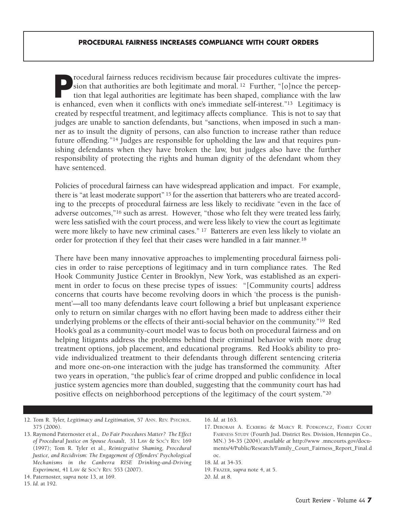**Procedural fairness reduces recidivism because fair procedures cultivate the impres-<br>sion that authorities are both legitimate and moral.<sup>12</sup> Further, "[o]nce the percep-<br>tion that legal authorities are legitimate has bee** sion that authorities are both legitimate and moral. <sup>12</sup> Further, "[o]nce the perception that legal authorities are legitimate has been shaped, compliance with the law is enhanced, even when it conflicts with one's immediate self-interest."13 Legitimacy is created by respectful treatment, and legitimacy affects compliance. This is not to say that judges are unable to sanction defendants, but "sanctions, when imposed in such a manner as to insult the dignity of persons, can also function to increase rather than reduce future offending."14 Judges are responsible for upholding the law and that requires punishing defendants when they have broken the law, but judges also have the further responsibility of protecting the rights and human dignity of the defendant whom they have sentenced.

Policies of procedural fairness can have widespread application and impact. For example, there is "at least moderate support" <sup>15</sup> for the assertion that batterers who are treated according to the precepts of procedural fairness are less likely to recidivate "even in the face of adverse outcomes,"16 such as arrest. However, "those who felt they were treated less fairly, were less satisfied with the court process, and were less likely to view the court as legitimate were more likely to have new criminal cases." <sup>17</sup> Batterers are even less likely to violate an order for protection if they feel that their cases were handled in a fair manner.18

There have been many innovative approaches to implementing procedural fairness policies in order to raise perceptions of legitimacy and in turn compliance rates. The Red Hook Community Justice Center in Brooklyn, New York, was established as an experiment in order to focus on these precise types of issues: "[Community courts] address concerns that courts have become revolving doors in which 'the process is the punishment'—all too many defendants leave court following a brief but unpleasant experience only to return on similar charges with no effort having been made to address either their underlying problems or the effects of their anti-social behavior on the community."19 Red Hook's goal as a community-court model was to focus both on procedural fairness and on helping litigants address the problems behind their criminal behavior with more drug treatment options, job placement, and educational programs. Red Hook's ability to provide individualized treatment to their defendants through different sentencing criteria and more one-on-one interaction with the judge has transformed the community. After two years in operation, "the public's fear of crime dropped and public confidence in local justice system agencies more than doubled, suggesting that the community court has had positive effects on neighborhood perceptions of the legitimacy of the court system."20

- 12. Tom R. Tyler, *Legitimacy and Legitimation,* 57 ANN. REV. PSYCHOL. 375 (2006).
- 13. Raymond Paternoster et al., *Do Fair Procedures Matter? The Effect of Procedural Justice on Spouse Assault*, 31 LAW & SOC'Y REV. 169 (1997); Tom R. Tyler et al., *Reintegrative Shaming, Procedural Justice, and Recidivism: The Engagement of Offenders' Psychological Mechanisms in the Canberra RISE Drinking-and-Driving Experiment,* 41 LAW & SOC'Y REV. 553 (2007).

14. Paternoster, *supra* note 13, at 169.

15. *Id.* at 192.

<sup>16.</sup> *Id.* at 163.

<sup>17.</sup> DEBORAH A. ECKBERG & MARCY R. PODKOPACZ, FAMILY COURT FAIRNESS STUDY (Fourth Jud. District Res. Division, Hennepin Co., MN.) 34-35 (2004), *available at* http://www .mncourts.gov/documents/4/Public/Research/Family\_Court\_Fairness\_Report\_Final.d oc.

<sup>18.</sup> *Id.* at 34-35.

<sup>19.</sup> FRAZER, *supra* note 4, at 5.

<sup>20.</sup> *Id.* at 8.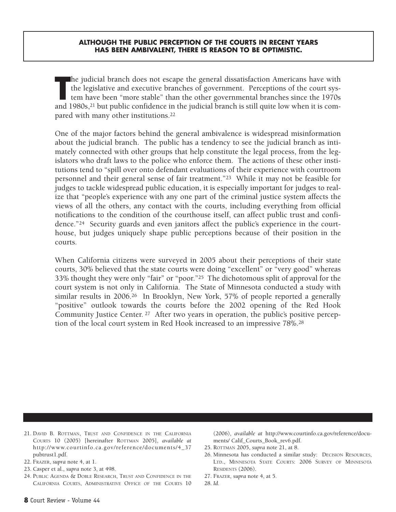#### **ALTHOUGH THE PUBLIC PERCEPTION OF THE COURTS IN RECENT YEARS HAS BEEN AMBIVALENT, THERE IS REASON TO BE OPTIMISTIC.**

The judicial branch does not escape the general dissatisfaction Americans have with the legislative and executive branches of government. Perceptions of the court system have been "more stable" than the other governmental he judicial branch does not escape the general dissatisfaction Americans have with the legislative and executive branches of government. Perceptions of the court system have been "more stable" than the other governmental branches since the 1970s pared with many other institutions.22

One of the major factors behind the general ambivalence is widespread misinformation about the judicial branch. The public has a tendency to see the judicial branch as intimately connected with other groups that help constitute the legal process, from the legislators who draft laws to the police who enforce them. The actions of these other institutions tend to "spill over onto defendant evaluations of their experience with courtroom personnel and their general sense of fair treatment."23 While it may not be feasible for judges to tackle widespread public education, it is especially important for judges to realize that "people's experience with any one part of the criminal justice system affects the views of all the others, any contact with the courts, including everything from official notifications to the condition of the courthouse itself, can affect public trust and confidence."24 Security guards and even janitors affect the public's experience in the courthouse, but judges uniquely shape public perceptions because of their position in the courts.

When California citizens were surveyed in 2005 about their perceptions of their state courts, 30% believed that the state courts were doing "excellent" or "very good" whereas 33% thought they were only "fair" or "poor."25 The dichotomous split of approval for the court system is not only in California. The State of Minnesota conducted a study with similar results in 2006.<sup>26</sup> In Brooklyn, New York, 57% of people reported a generally "positive" outlook towards the courts before the 2002 opening of the Red Hook Community Justice Center. <sup>27</sup> After two years in operation, the public's positive perception of the local court system in Red Hook increased to an impressive 78%.28

- 21. DAVID B. ROTTMAN, TRUST AND CONFIDENCE IN THE CALIFORNIA COURTS 10 (2005) [hereinafter ROTTMAN 2005], *available at* http://www.courtinfo.ca.gov/reference/documents/4\_37 pubtrust1.pdf.
- 22. FRAZER, *supra* note 4, at 1.
- 23. Casper et al., *supra* note 3, at 498.
- 24. PUBLIC AGENDA & DOBLE RESEARCH, TRUST AND CONFIDENCE IN THE CALIFORNIA COURTS, ADMINISTRATIVE OFFICE OF THE COURTS 10

(2006), *available at* http://www.courtinfo.ca.gov/reference/documents/ Calif\_Courts\_Book\_rev6.pdf.

- 25. ROTTMAN 2005, *supra* note 21, at 8.
- 26. Minnesota has conducted a similar study: DECISION RESOURCES, LTD., MINNESOTA STATE COURTS: 2006 SURVEY OF MINNESOTA RESIDENTS (2006).
- 27. FRAZER, *supra* note 4, at 5.
- 28. *Id.*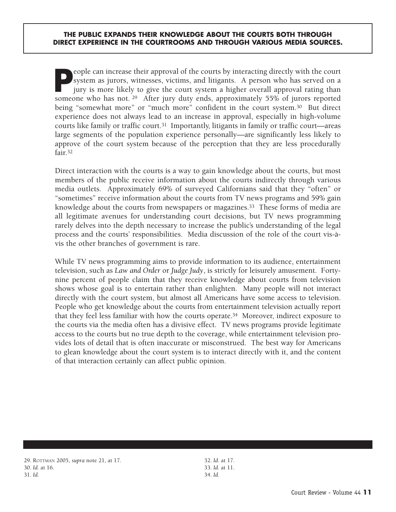**People can increase their approval of the courts by interacting directly with the court system as jurors, witnesses, victims, and litigants. A person who has served on a jury is more likely to give the court system a high** system as jurors, witnesses, victims, and litigants. A person who has served on a jury is more likely to give the court system a higher overall approval rating than someone who has not. <sup>29</sup> After jury duty ends, approximately 55% of jurors reported being "somewhat more" or "much more" confident in the court system.<sup>30</sup> But direct experience does not always lead to an increase in approval, especially in high-volume courts like family or traffic court.<sup>31</sup> Importantly, litigants in family or traffic court—areas large segments of the population experience personally—are significantly less likely to approve of the court system because of the perception that they are less procedurally fair<sup>32</sup>

Direct interaction with the courts is a way to gain knowledge about the courts, but most members of the public receive information about the courts indirectly through various media outlets. Approximately 69% of surveyed Californians said that they "often" or "sometimes" receive information about the courts from TV news programs and 59% gain knowledge about the courts from newspapers or magazines.<sup>33</sup> These forms of media are all legitimate avenues for understanding court decisions, but TV news programming rarely delves into the depth necessary to increase the public's understanding of the legal process and the courts' responsibilities. Media discussion of the role of the court vis-àvis the other branches of government is rare.

While TV news programming aims to provide information to its audience, entertainment television, such as *Law and Order* or *Judge Judy*, is strictly for leisurely amusement. Fortynine percent of people claim that they receive knowledge about courts from television shows whose goal is to entertain rather than enlighten. Many people will not interact directly with the court system, but almost all Americans have some access to television. People who get knowledge about the courts from entertainment television actually report that they feel less familiar with how the courts operate.34 Moreover, indirect exposure to the courts via the media often has a divisive effect. TV news programs provide legitimate access to the courts but no true depth to the coverage, while entertainment television provides lots of detail that is often inaccurate or misconstrued. The best way for Americans to glean knowledge about the court system is to interact directly with it, and the content of that interaction certainly can affect public opinion.

32. *Id*. at 17. 33. *Id.* at 11. 34. *Id.*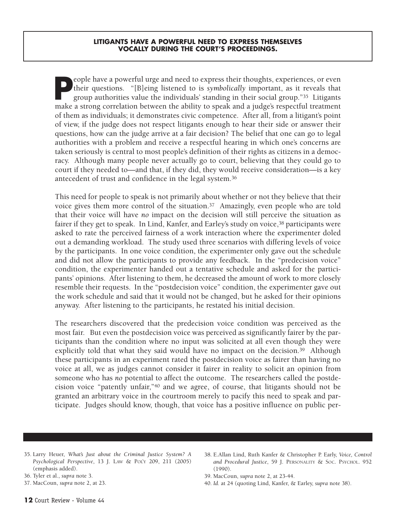**People have a powerful urge and need to express their thoughts, experiences, or even their questions. "[B]eing listened to is** *symbolically* **important, as it reveals that group authorities value the individuals' standing** their questions. "[B]eing listened to is *symbolically* important, as it reveals that group authorities value the individuals' standing in their social group."35 Litigants make a strong correlation between the ability to speak and a judge's respectful treatment of them as individuals; it demonstrates civic competence. After all, from a litigant's point of view, if the judge does not respect litigants enough to hear their side or answer their questions, how can the judge arrive at a fair decision? The belief that one can go to legal authorities with a problem and receive a respectful hearing in which one's concerns are taken seriously is central to most people's definition of their rights as citizens in a democracy. Although many people never actually go to court, believing that they could go to court if they needed to—and that, if they did, they would receive consideration—is a key antecedent of trust and confidence in the legal system.36

This need for people to speak is not primarily about whether or not they believe that their voice gives them more control of the situation.<sup>37</sup> Amazingly, even people who are told that their voice will have *no* impact on the decision will still perceive the situation as fairer if they get to speak. In Lind, Kanfer, and Earley's study on voice,<sup>38</sup> participants were asked to rate the perceived fairness of a work interaction where the experimenter doled out a demanding workload. The study used three scenarios with differing levels of voice by the participants. In one voice condition, the experimenter only gave out the schedule and did not allow the participants to provide any feedback. In the "predecision voice" condition, the experimenter handed out a tentative schedule and asked for the participants' opinions. After listening to them, he decreased the amount of work to more closely resemble their requests. In the "postdecision voice" condition, the experimenter gave out the work schedule and said that it would not be changed, but he asked for their opinions anyway. After listening to the participants, he restated his initial decision.

The researchers discovered that the predecision voice condition was perceived as the most fair. But even the postdecision voice was perceived as significantly fairer by the participants than the condition where no input was solicited at all even though they were explicitly told that what they said would have no impact on the decision.<sup>39</sup> Although these participants in an experiment rated the postdecision voice as fairer than having no voice at all, we as judges cannot consider it fairer in reality to solicit an opinion from someone who has *no* potential to affect the outcome. The researchers called the postdecision voice "patently unfair,"40 and we agree, of course, that litigants should not be granted an arbitrary voice in the courtroom merely to pacify this need to speak and participate. Judges should know, though, that voice has a positive influence on public per-

- 35. Larry Heuer, *What's Just about the Criminal Justice System? A Psychological Perspective*, 13 J. LAW & POL'Y 209, 211 (2005) (emphasis added).
- 36. Tyler et al., *supra* note 3.
- 37. MacCoun, *supra* note 2, at 23.
- 38. E.Allan Lind, Ruth Kanfer & Christopher P. Early, *Voice, Control and Procedural Justice*, 59 J. PERSONALITY & SOC. PSYCHOL. 952 (1990).
- 39. MacCoun, *supra* note 2, at 23-44.
- 40. *Id.* at 24 (quoting Lind, Kanfer, & Earley, *supra* note 38).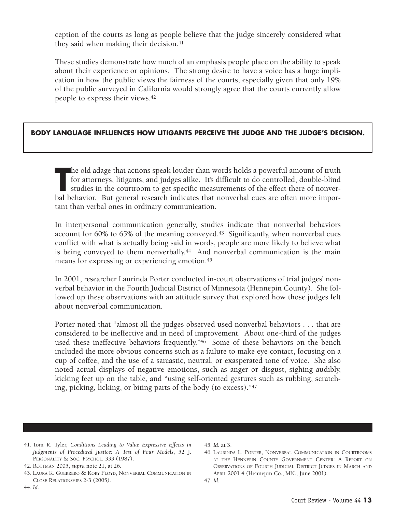ception of the courts as long as people believe that the judge sincerely considered what they said when making their decision.<sup>41</sup>

These studies demonstrate how much of an emphasis people place on the ability to speak about their experience or opinions. The strong desire to have a voice has a huge implication in how the public views the fairness of the courts, especially given that only 19% of the public surveyed in California would strongly agree that the courts currently allow people to express their views.42

## **BODY LANGUAGE INFLUENCES HOW LITIGANTS PERCEIVE THE JUDGE AND THE JUDGE'S DECISION.**

The old adage that actions speak louder than words holds a powerful amount of truth for attorneys, litigants, and judges alike. It's difficult to do controlled, double-blind studies in the courtroom to get specific measure he old adage that actions speak louder than words holds a powerful amount of truth for attorneys, litigants, and judges alike. It's difficult to do controlled, double-blind studies in the courtroom to get specific measurements of the effect there of nonvertant than verbal ones in ordinary communication.

In interpersonal communication generally, studies indicate that nonverbal behaviors account for 60% to 65% of the meaning conveyed.43 Significantly, when nonverbal cues conflict with what is actually being said in words, people are more likely to believe what is being conveyed to them nonverbally.<sup>44</sup> And nonverbal communication is the main means for expressing or experiencing emotion.45

In 2001, researcher Laurinda Porter conducted in-court observations of trial judges' nonverbal behavior in the Fourth Judicial District of Minnesota (Hennepin County). She followed up these observations with an attitude survey that explored how those judges felt about nonverbal communication.

Porter noted that "almost all the judges observed used nonverbal behaviors . . . that are considered to be ineffective and in need of improvement. About one-third of the judges used these ineffective behaviors frequently."46 Some of these behaviors on the bench included the more obvious concerns such as a failure to make eye contact, focusing on a cup of coffee, and the use of a sarcastic, neutral, or exasperated tone of voice. She also noted actual displays of negative emotions, such as anger or disgust, sighing audibly, kicking feet up on the table, and "using self-oriented gestures such as rubbing, scratching, picking, licking, or biting parts of the body (to excess)."47

41. Tom R. Tyler, *Conditions Leading to Value Expressive Effects in Judgments of Procedural Justice: A Test of Four Models*, 52 J. PERSONALITY & SOC. PSYCHOL. 333 (1987).

43. LAURA K. GUERRERO & KORY FLOYD, NONVERBAL COMMUNICATION IN CLOSE RELATIONSHIPS 2-3 (2005).

#### 45. *Id*. at 3.

<sup>42.</sup> ROTTMAN 2005, *supra* note 21, at 26.

<sup>46.</sup> LAURINDA L. PORTER, NONVERBAL COMMUNICATION IN COURTROOMS AT THE HENNEPIN COUNTY GOVERNMENT CENTER: A REPORT ON OBSERVATIONS OF FOURTH JUDICIAL DISTRICT JUDGES IN MARCH AND APRIL 2001 4 (Hennepin Co., MN., June 2001). 47. *Id.*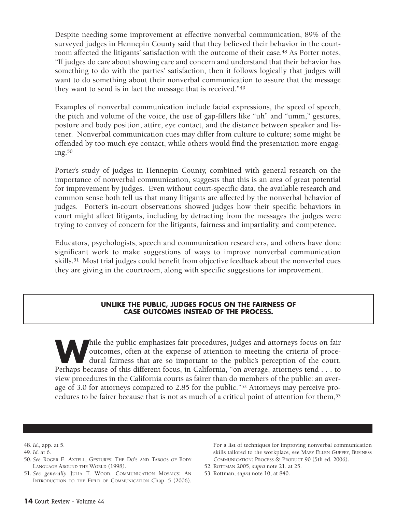Despite needing some improvement at effective nonverbal communication, 89% of the surveyed judges in Hennepin County said that they believed their behavior in the courtroom affected the litigants' satisfaction with the outcome of their case.<sup>48</sup> As Porter notes, "If judges do care about showing care and concern and understand that their behavior has something to do with the parties' satisfaction, then it follows logically that judges will want to do something about their nonverbal communication to assure that the message they want to send is in fact the message that is received."49

Examples of nonverbal communication include facial expressions, the speed of speech, the pitch and volume of the voice, the use of gap-fillers like "uh" and "umm," gestures, posture and body position, attire, eye contact, and the distance between speaker and listener. Nonverbal communication cues may differ from culture to culture; some might be offended by too much eye contact, while others would find the presentation more engaging.50

Porter's study of judges in Hennepin County, combined with general research on the importance of nonverbal communication, suggests that this is an area of great potential for improvement by judges. Even without court-specific data, the available research and common sense both tell us that many litigants are affected by the nonverbal behavior of judges. Porter's in-court observations showed judges how their specific behaviors in court might affect litigants, including by detracting from the messages the judges were trying to convey of concern for the litigants, fairness and impartiality, and competence.

Educators, psychologists, speech and communication researchers, and others have done significant work to make suggestions of ways to improve nonverbal communication skills.51 Most trial judges could benefit from objective feedback about the nonverbal cues they are giving in the courtroom, along with specific suggestions for improvement.

#### **UNLIKE THE PUBLIC, JUDGES FOCUS ON THE FAIRNESS OF CASE OUTCOMES INSTEAD OF THE PROCESS.**

hile the public emphasizes fair procedures, judges and attorneys focus on fair outcomes, often at the expense of attention to meeting the criteria of procedural fairness that are so important to the public's perception of outcomes, often at the expense of attention to meeting the criteria of procedural fairness that are so important to the public's perception of the court. Perhaps because of this different focus, in California, "on average, attorneys tend . . . to view procedures in the California courts as fairer than do members of the public: an average of 3.0 for attorneys compared to 2.85 for the public."52 Attorneys may perceive procedures to be fairer because that is not as much of a critical point of attention for them,53

- 50. *See* ROGER E. AXTELL, GESTURES: THE DO'S AND TABOOS OF BODY LANGUAGE AROUND THE WORLD (1998).
- 51. *See generally* JULIA T. WOOD, COMMUNICATION MOSAICS: AN INTRODUCTION TO THE FIELD OF COMMUNICATION Chap. 5 (2006).

For a list of techniques for improving nonverbal communication skills tailored to the workplace, see MARY ELLEN GUFFEY, BUSINESS COMMUNICATION: PROCESS & PRODUCT 90 (5th ed. 2006).

- 52. ROTTMAN 2005, *supra* note 21, at 25.
- 53. Rottman, *supra* note 10, at 840.

<sup>48.</sup> *Id.,* app. at 5.

<sup>49.</sup> *Id.* at 6.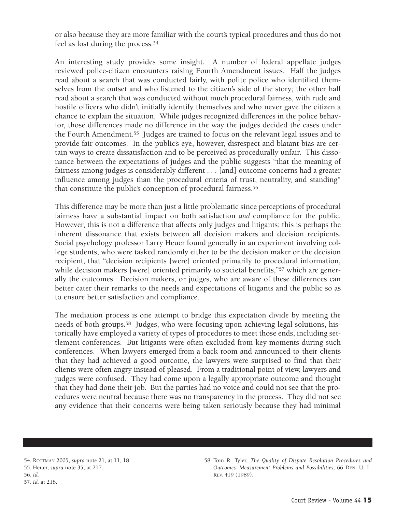or also because they are more familiar with the court's typical procedures and thus do not feel as lost during the process.54

An interesting study provides some insight. A number of federal appellate judges reviewed police-citizen encounters raising Fourth Amendment issues. Half the judges read about a search that was conducted fairly, with polite police who identified themselves from the outset and who listened to the citizen's side of the story; the other half read about a search that was conducted without much procedural fairness, with rude and hostile officers who didn't initially identify themselves and who never gave the citizen a chance to explain the situation. While judges recognized differences in the police behavior, those differences made no difference in the way the judges decided the cases under the Fourth Amendment.55 Judges are trained to focus on the relevant legal issues and to provide fair outcomes. In the public's eye, however, disrespect and blatant bias are certain ways to create dissatisfaction and to be perceived as procedurally unfair. This dissonance between the expectations of judges and the public suggests "that the meaning of fairness among judges is considerably different . . . [and] outcome concerns had a greater influence among judges than the procedural criteria of trust, neutrality, and standing" that constitute the public's conception of procedural fairness.<sup>56</sup>

This difference may be more than just a little problematic since perceptions of procedural fairness have a substantial impact on both satisfaction *and* compliance for the public. However, this is not a difference that affects only judges and litigants; this is perhaps the inherent dissonance that exists between all decision makers and decision recipients. Social psychology professor Larry Heuer found generally in an experiment involving college students, who were tasked randomly either to be the decision maker or the decision recipient, that "decision recipients [were] oriented primarily to procedural information, while decision makers [were] oriented primarily to societal benefits,"<sup>57</sup> which are generally the outcomes. Decision makers, or judges, who are aware of these differences can better cater their remarks to the needs and expectations of litigants and the public so as to ensure better satisfaction and compliance.

The mediation process is one attempt to bridge this expectation divide by meeting the needs of both groups.58 Judges, who were focusing upon achieving legal solutions, historically have employed a variety of types of procedures to meet those ends, including settlement conferences. But litigants were often excluded from key moments during such conferences. When lawyers emerged from a back room and announced to their clients that they had achieved a good outcome, the lawyers were surprised to find that their clients were often angry instead of pleased. From a traditional point of view, lawyers and judges were confused. They had come upon a legally appropriate outcome and thought that they had done their job. But the parties had no voice and could not see that the procedures were neutral because there was no transparency in the process. They did not see any evidence that their concerns were being taken seriously because they had minimal

58. Tom R. Tyler, *The Quality of Dispute Resolution Procedures and Outcomes: Measurement Problems and Possibilities,* 66 DEN. U. L. REV. 419 (1989).

<sup>54.</sup> ROTTMAN 2005, *supra* note 21, at 11, 18. 55. Heuer, *supra* note 35, at 217. 56. *Id.* 57. *Id.* at 218.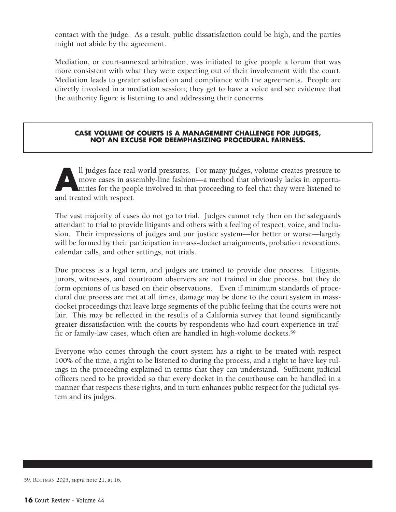contact with the judge. As a result, public dissatisfaction could be high, and the parties might not abide by the agreement.

Mediation, or court-annexed arbitration, was initiated to give people a forum that was more consistent with what they were expecting out of their involvement with the court. Mediation leads to greater satisfaction and compliance with the agreements. People are directly involved in a mediation session; they get to have a voice and see evidence that the authority figure is listening to and addressing their concerns.

#### **CASE VOLUME OF COURTS IS A MANAGEMENT CHALLENGE FOR JUDGES, NOT AN EXCUSE FOR DEEMPHASIZING PROCEDURAL FAIRNESS.**

All judges face real-world pressures. For many judges, volume creates pressure to move cases in assembly-line fashion—a method that obviously lacks in opportunities for the people involved in that proceeding to feel that t move cases in assembly-line fashion—a method that obviously lacks in opportunities for the people involved in that proceeding to feel that they were listened to and treated with respect.

The vast majority of cases do not go to trial. Judges cannot rely then on the safeguards attendant to trial to provide litigants and others with a feeling of respect, voice, and inclusion. Their impressions of judges and our justice system—for better or worse—largely will be formed by their participation in mass-docket arraignments, probation revocations, calendar calls, and other settings, not trials.

Due process is a legal term, and judges are trained to provide due process. Litigants, jurors, witnesses, and courtroom observers are not trained in due process, but they do form opinions of us based on their observations. Even if minimum standards of procedural due process are met at all times, damage may be done to the court system in massdocket proceedings that leave large segments of the public feeling that the courts were not fair. This may be reflected in the results of a California survey that found significantly greater dissatisfaction with the courts by respondents who had court experience in traffic or family-law cases, which often are handled in high-volume dockets.59

Everyone who comes through the court system has a right to be treated with respect 100% of the time, a right to be listened to during the process, and a right to have key rulings in the proceeding explained in terms that they can understand. Sufficient judicial officers need to be provided so that every docket in the courthouse can be handled in a manner that respects these rights, and in turn enhances public respect for the judicial system and its judges.

<sup>59.</sup> ROTTMAN 2005, *supra* note 21, at 16.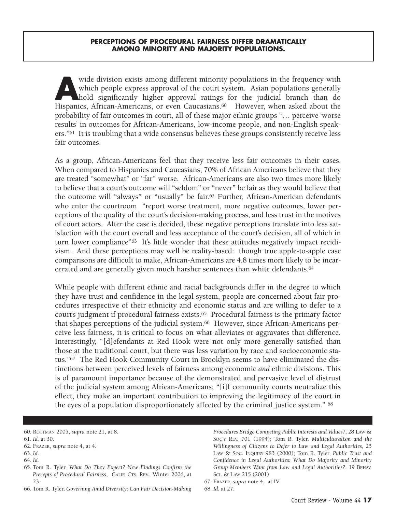#### **PERCEPTIONS OF PROCEDURAL FAIRNESS DIFFER DRAMATICALLY AMONG MINORITY AND MAJORITY POPULATIONS.**

wide division exists among different minority populations in the frequency with<br>which people express approval of the court system. Asian populations generally<br>hold significantly higher approval ratings for the judicial bra which people express approval of the court system. Asian populations generally hold significantly higher approval ratings for the judicial branch than do Hispanics, African-Americans, or even Caucasians.<sup>60</sup> However, when asked about the probability of fair outcomes in court, all of these major ethnic groups "… perceive 'worse results' in outcomes for African-Americans, low-income people, and non-English speakers."61 It is troubling that a wide consensus believes these groups consistently receive less fair outcomes.

As a group, African-Americans feel that they receive less fair outcomes in their cases. When compared to Hispanics and Caucasians, 70% of African Americans believe that they are treated "somewhat" or "far" worse. African-Americans are also two times more likely to believe that a court's outcome will "seldom" or "never" be fair as they would believe that the outcome will "always" or "usually" be fair.62 Further, African-American defendants who enter the courtroom "report worse treatment, more negative outcomes, lower perceptions of the quality of the court's decision-making process, and less trust in the motives of court actors. After the case is decided, these negative perceptions translate into less satisfaction with the court overall and less acceptance of the court's decision, all of which in turn lower compliance"<sup>63</sup> It's little wonder that these attitudes negatively impact recidivism. And these perceptions may well be reality-based: though true apple-to-apple case comparisons are difficult to make, African-Americans are 4.8 times more likely to be incarcerated and are generally given much harsher sentences than white defendants.64

While people with different ethnic and racial backgrounds differ in the degree to which they have trust and confidence in the legal system, people are concerned about fair procedures irrespective of their ethnicity and economic status and are willing to defer to a court's judgment if procedural fairness exists.65 Procedural fairness is the primary factor that shapes perceptions of the judicial system.66 However, since African-Americans perceive less fairness, it is critical to focus on what alleviates or aggravates that difference. Interestingly, "[d]efendants at Red Hook were not only more generally satisfied than those at the traditional court, but there was less variation by race and socioeconomic status."67 The Red Hook Community Court in Brooklyn seems to have eliminated the distinctions between perceived levels of fairness among economic *and* ethnic divisions. This is of paramount importance because of the demonstrated and pervasive level of distrust of the judicial system among African-Americans; "[i]f community courts neutralize this effect, they make an important contribution to improving the legitimacy of the court in the eyes of a population disproportionately affected by the criminal justice system." 68

*Procedures Bridge Competing Public Interests and Values?*, 28 LAW & SOC'Y REV. 701 (1994); Tom R. Tyler, *Multiculturalism and the Willingness of Citizens to Defer to Law and Legal Authorities,* 25 LAW & SOC. INQUIRY 983 (2000); Tom R. Tyler, *Public Trust and Confidence in Legal Authorities: What Do Majority and Minority Group Members Want from Law and Legal Authorities?*, 19 BEHAV. SCI. & LAW 215 (2001).

<sup>60.</sup> ROTTMAN 2005, *supra* note 21, at 8.

<sup>61.</sup> *Id.* at 30.

<sup>62.</sup> FRAZER, *supra* note 4, at 4.

<sup>63.</sup> *Id.*

<sup>64.</sup> *Id.* 

<sup>65.</sup> Tom R. Tyler, *What Do They Expect? New Findings Confirm the Precepts of Procedural Fairness*, CALIF. CTS. REV., Winter 2006, at 23.

<sup>66.</sup> Tom R. Tyler, *Governing Amid Diversity: Can Fair Decision-Making*

<sup>67.</sup> FRAZER, *supra* note 4, at IV.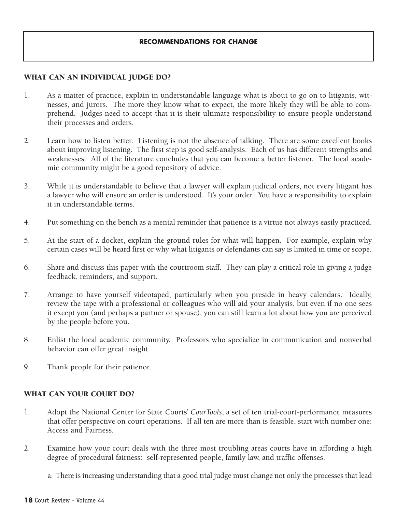## **WHAT CAN AN INDIVIDUAL JUDGE DO?**

- 1. As a matter of practice, explain in understandable language what is about to go on to litigants, witnesses, and jurors. The more they know what to expect, the more likely they will be able to comprehend. Judges need to accept that it is their ultimate responsibility to ensure people understand their processes and orders.
- 2. Learn how to listen better. Listening is not the absence of talking. There are some excellent books about improving listening. The first step is good self-analysis. Each of us has different strengths and weaknesses. All of the literature concludes that you can become a better listener. The local academic community might be a good repository of advice.
- 3. While it is understandable to believe that a lawyer will explain judicial orders, not every litigant has a lawyer who will ensure an order is understood. It's your order. You have a responsibility to explain it in understandable terms.
- 4. Put something on the bench as a mental reminder that patience is a virtue not always easily practiced.
- 5. At the start of a docket, explain the ground rules for what will happen. For example, explain why certain cases will be heard first or why what litigants or defendants can say is limited in time or scope.
- 6. Share and discuss this paper with the courtroom staff. They can play a critical role in giving a judge feedback, reminders, and support.
- 7. Arrange to have yourself videotaped, particularly when you preside in heavy calendars. Ideally, review the tape with a professional or colleagues who will aid your analysis, but even if no one sees it except you (and perhaps a partner or spouse), you can still learn a lot about how you are perceived by the people before you.
- 8. Enlist the local academic community. Professors who specialize in communication and nonverbal behavior can offer great insight.
- 9. Thank people for their patience.

## **WHAT CAN YOUR COURT DO?**

- 1. Adopt the National Center for State Courts' *CourTools*, a set of ten trial-court-performance measures that offer perspective on court operations. If all ten are more than is feasible, start with number one: Access and Fairness.
- 2. Examine how your court deals with the three most troubling areas courts have in affording a high degree of procedural fairness: self-represented people, family law, and traffic offenses.
	- a. There is increasing understanding that a good trial judge must change not only the processes that lead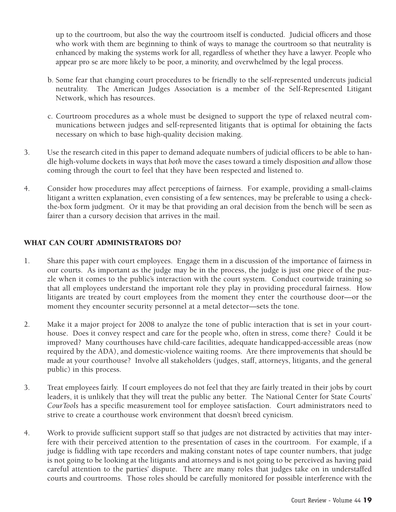up to the courtroom, but also the way the courtroom itself is conducted. Judicial officers and those who work with them are beginning to think of ways to manage the courtroom so that neutrality is enhanced by making the systems work for all, regardless of whether they have a lawyer. People who appear pro se are more likely to be poor, a minority, and overwhelmed by the legal process.

- b. Some fear that changing court procedures to be friendly to the self-represented undercuts judicial neutrality. The American Judges Association is a member of the Self-Represented Litigant Network, which has resources.
- c. Courtroom procedures as a whole must be designed to support the type of relaxed neutral communications between judges and self-represented litigants that is optimal for obtaining the facts necessary on which to base high-quality decision making.
- 3. Use the research cited in this paper to demand adequate numbers of judicial officers to be able to handle high-volume dockets in ways that *both* move the cases toward a timely disposition *and* allow those coming through the court to feel that they have been respected and listened to.
- 4. Consider how procedures may affect perceptions of fairness. For example, providing a small-claims litigant a written explanation, even consisting of a few sentences, may be preferable to using a checkthe-box form judgment. Or it may be that providing an oral decision from the bench will be seen as fairer than a cursory decision that arrives in the mail.

## **WHAT CAN COURT ADMINISTRATORS DO?**

- 1. Share this paper with court employees. Engage them in a discussion of the importance of fairness in our courts. As important as the judge may be in the process, the judge is just one piece of the puzzle when it comes to the public's interaction with the court system. Conduct courtwide training so that all employees understand the important role they play in providing procedural fairness. How litigants are treated by court employees from the moment they enter the courthouse door—or the moment they encounter security personnel at a metal detector—sets the tone.
- 2. Make it a major project for 2008 to analyze the tone of public interaction that is set in your courthouse. Does it convey respect and care for the people who, often in stress, come there? Could it be improved? Many courthouses have child-care facilities, adequate handicapped-accessible areas (now required by the ADA), and domestic-violence waiting rooms. Are there improvements that should be made at your courthouse? Involve all stakeholders (judges, staff, attorneys, litigants, and the general public) in this process.
- 3. Treat employees fairly. If court employees do not feel that they are fairly treated in their jobs by court leaders, it is unlikely that they will treat the public any better. The National Center for State Courts' *CourTools* has a specific measurement tool for employee satisfaction. Court administrators need to strive to create a courthouse work environment that doesn't breed cynicism.
- 4. Work to provide sufficient support staff so that judges are not distracted by activities that may interfere with their perceived attention to the presentation of cases in the courtroom. For example, if a judge is fiddling with tape recorders and making constant notes of tape counter numbers, that judge is not going to be looking at the litigants and attorneys and is not going to be perceived as having paid careful attention to the parties' dispute. There are many roles that judges take on in understaffed courts and courtrooms. Those roles should be carefully monitored for possible interference with the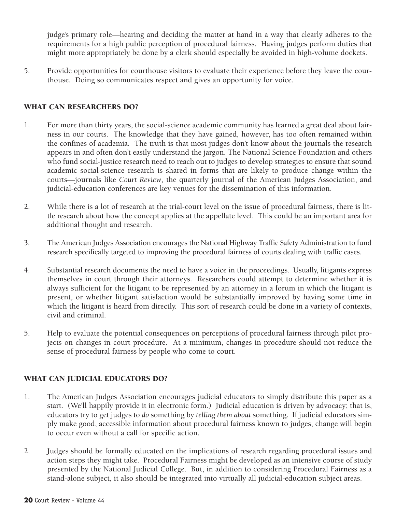judge's primary role—hearing and deciding the matter at hand in a way that clearly adheres to the requirements for a high public perception of procedural fairness. Having judges perform duties that might more appropriately be done by a clerk should especially be avoided in high-volume dockets.

5. Provide opportunities for courthouse visitors to evaluate their experience before they leave the courthouse. Doing so communicates respect and gives an opportunity for voice.

## **WHAT CAN RESEARCHERS DO?**

- 1. For more than thirty years, the social-science academic community has learned a great deal about fairness in our courts. The knowledge that they have gained, however, has too often remained within the confines of academia. The truth is that most judges don't know about the journals the research appears in and often don't easily understand the jargon. The National Science Foundation and others who fund social-justice research need to reach out to judges to develop strategies to ensure that sound academic social-science research is shared in forms that are likely to produce change within the courts—journals like *Court Review*, the quarterly journal of the American Judges Association, and judicial-education conferences are key venues for the dissemination of this information.
- 2. While there is a lot of research at the trial-court level on the issue of procedural fairness, there is little research about how the concept applies at the appellate level. This could be an important area for additional thought and research.
- 3. The American Judges Association encourages the National Highway Traffic Safety Administration to fund research specifically targeted to improving the procedural fairness of courts dealing with traffic cases.
- 4. Substantial research documents the need to have a voice in the proceedings. Usually, litigants express themselves in court through their attorneys. Researchers could attempt to determine whether it is always sufficient for the litigant to be represented by an attorney in a forum in which the litigant is present, or whether litigant satisfaction would be substantially improved by having some time in which the litigant is heard from directly. This sort of research could be done in a variety of contexts, civil and criminal.
- 5. Help to evaluate the potential consequences on perceptions of procedural fairness through pilot projects on changes in court procedure. At a minimum, changes in procedure should not reduce the sense of procedural fairness by people who come to court.

## **WHAT CAN JUDICIAL EDUCATORS DO?**

- 1. The American Judges Association encourages judicial educators to simply distribute this paper as a start. (We'll happily provide it in electronic form.) Judicial education is driven by advocacy; that is, educators try to get judges to *do* something by *telling them about* something. If judicial educators simply make good, accessible information about procedural fairness known to judges, change will begin to occur even without a call for specific action.
- 2. Judges should be formally educated on the implications of research regarding procedural issues and action steps they might take. Procedural Fairness might be developed as an intensive course of study presented by the National Judicial College. But, in addition to considering Procedural Fairness as a stand-alone subject, it also should be integrated into virtually all judicial-education subject areas.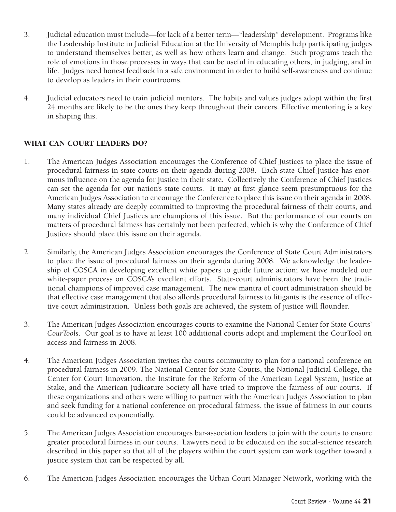- 3. Judicial education must include—for lack of a better term—"leadership" development. Programs like the Leadership Institute in Judicial Education at the University of Memphis help participating judges to understand themselves better, as well as how others learn and change. Such programs teach the role of emotions in those processes in ways that can be useful in educating others, in judging, and in life. Judges need honest feedback in a safe environment in order to build self-awareness and continue to develop as leaders in their courtrooms.
- 4. Judicial educators need to train judicial mentors. The habits and values judges adopt within the first 24 months are likely to be the ones they keep throughout their careers. Effective mentoring is a key in shaping this.

## **WHAT CAN COURT LEADERS DO?**

- 1. The American Judges Association encourages the Conference of Chief Justices to place the issue of procedural fairness in state courts on their agenda during 2008. Each state Chief Justice has enormous influence on the agenda for justice in their state. Collectively the Conference of Chief Justices can set the agenda for our nation's state courts. It may at first glance seem presumptuous for the American Judges Association to encourage the Conference to place this issue on their agenda in 2008. Many states already are deeply committed to improving the procedural fairness of their courts, and many individual Chief Justices are champions of this issue. But the performance of our courts on matters of procedural fairness has certainly not been perfected, which is why the Conference of Chief Justices should place this issue on their agenda.
- 2. Similarly, the American Judges Association encourages the Conference of State Court Administrators to place the issue of procedural fairness on their agenda during 2008. We acknowledge the leadership of COSCA in developing excellent white papers to guide future action; we have modeled our white-paper process on COSCA's excellent efforts. State-court administrators have been the traditional champions of improved case management. The new mantra of court administration should be that effective case management that also affords procedural fairness to litigants is the essence of effective court administration. Unless both goals are achieved, the system of justice will flounder.
- 3. The American Judges Association encourages courts to examine the National Center for State Courts' *CourTools*. Our goal is to have at least 100 additional courts adopt and implement the CourTool on access and fairness in 2008.
- 4. The American Judges Association invites the courts community to plan for a national conference on procedural fairness in 2009. The National Center for State Courts, the National Judicial College, the Center for Court Innovation, the Institute for the Reform of the American Legal System, Justice at Stake, and the American Judicature Society all have tried to improve the fairness of our courts. If these organizations and others were willing to partner with the American Judges Association to plan and seek funding for a national conference on procedural fairness, the issue of fairness in our courts could be advanced exponentially.
- 5. The American Judges Association encourages bar-association leaders to join with the courts to ensure greater procedural fairness in our courts. Lawyers need to be educated on the social-science research described in this paper so that all of the players within the court system can work together toward a justice system that can be respected by all.
- 6. The American Judges Association encourages the Urban Court Manager Network, working with the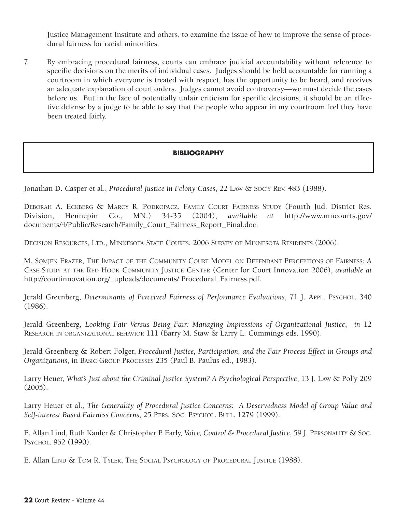Justice Management Institute and others, to examine the issue of how to improve the sense of procedural fairness for racial minorities.

7. By embracing procedural fairness, courts can embrace judicial accountability without reference to specific decisions on the merits of individual cases. Judges should be held accountable for running a courtroom in which everyone is treated with respect, has the opportunity to be heard, and receives an adequate explanation of court orders. Judges cannot avoid controversy—we must decide the cases before us. But in the face of potentially unfair criticism for specific decisions, it should be an effective defense by a judge to be able to say that the people who appear in my courtroom feel they have been treated fairly.

## **BIBLIOGRAPHY**

Jonathan D. Casper et al., *Procedural Justice in Felony Cases*, 22 LAW & SOC'Y REV. 483 (1988).

DEBORAH A. ECKBERG & MARCY R. PODKOPACZ, FAMILY COURT FAIRNESS STUDY (Fourth Jud. District Res. Division, Hennepin Co., MN.) 34-35 (2004), *available at* http://www.mncourts.gov/ documents/4/Public/Research/Family\_Court\_Fairness\_Report\_Final.doc.

DECISION RESOURCES, LTD., MINNESOTA STATE COURTS: 2006 SURVEY OF MINNESOTA RESIDENTS (2006).

M. SOMJEN FRAZER, THE IMPACT OF THE COMMUNITY COURT MODEL ON DEFENDANT PERCEPTIONS OF FAIRNESS: A CASE STUDY AT THE RED HOOK COMMUNITY JUSTICE CENTER (Center for Court Innovation 2006), *available at* http://courtinnovation.org/\_uploads/documents/ Procedural\_Fairness.pdf.

Jerald Greenberg, *Determinants of Perceived Fairness of Performance Evaluations*, 71 J. APPL. PSYCHOL. 340 (1986).

Jerald Greenberg, *Looking Fair Versus Being Fair: Managing Impressions of Organizational Justice*, *in* 12 RESEARCH IN ORGANIZATIONAL BEHAVIOR 111 (Barry M. Staw & Larry L. Cummings eds. 1990).

Jerald Greenberg & Robert Folger, *Procedural Justice, Participation, and the Fair Process Effect in Groups and Organizations*, in BASIC GROUP PROCESSES 235 (Paul B. Paulus ed., 1983).

Larry Heuer, *What's Just about the Criminal Justice System? A Psychological Perspective*, 13 J. LAW & Pol'y 209 (2005).

Larry Heuer et al., *The Generality of Procedural Justice Concerns: A Deservedness Model of Group Value and Self-interest Based Fairness Concerns*, 25 PERS. SOC. PSYCHOL. BULL. 1279 (1999).

E. Allan Lind, Ruth Kanfer & Christopher P. Early, *Voice, Control & Procedural Justice*, 59 J. PERSONALITY & SOC. PSYCHOL. 952 (1990).

E. Allan LIND & TOM R. TYLER, THE SOCIAL PSYCHOLOGY OF PROCEDURAL JUSTICE (1988).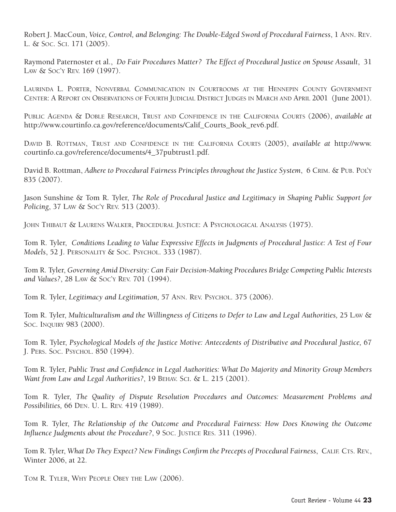Robert J. MacCoun, *Voice, Control, and Belonging: The Double-Edged Sword of Procedural Fairness*, 1 ANN. REV. L. & SOC. SCI. 171 (2005).

Raymond Paternoster et al., *Do Fair Procedures Matter? The Effect of Procedural Justice on Spouse Assault*, 31 LAW & SOC'Y REV. 169 (1997).

LAURINDA L. PORTER, NONVERBAL COMMUNICATION IN COURTROOMS AT THE HENNEPIN COUNTY GOVERNMENT CENTER: A REPORT ON OBSERVATIONS OF FOURTH JUDICIAL DISTRICT JUDGES IN MARCH AND APRIL 2001 (June 2001).

PUBLIC AGENDA & DOBLE RESEARCH, TRUST AND CONFIDENCE IN THE CALIFORNIA COURTS (2006), *available at* http://www.courtinfo.ca.gov/reference/documents/Calif\_Courts\_Book\_rev6.pdf.

DAVID B. ROTTMAN, TRUST AND CONFIDENCE IN THE CALIFORNIA COURTS (2005), *available at* http://www. courtinfo.ca.gov/reference/documents/4\_37pubtrust1.pdf.

David B. Rottman, *Adhere to Procedural Fairness Principles throughout the Justice System*, 6 CRIM. & PUB. POL'Y 835 (2007).

Jason Sunshine & Tom R. Tyler, *The Role of Procedural Justice and Legitimacy in Shaping Public Support for Policing*, 37 LAW & SOC'Y REV. 513 (2003).

JOHN THIBAUT & LAURENS WALKER, PROCEDURAL JUSTICE: A PSYCHOLOGICAL ANALYSIS (1975).

Tom R. Tyler, *Conditions Leading to Value Expressive Effects in Judgments of Procedural Justice: A Test of Four Models*, 52 J. PERSONALITY & SOC. PSYCHOL. 333 (1987).

Tom R. Tyler, *Governing Amid Diversity: Can Fair Decision-Making Procedures Bridge Competing Public Interests and Values?*, 28 LAW & SOC'Y REV. 701 (1994).

Tom R. Tyler, *Legitimacy and Legitimation,* 57 ANN. REV. PSYCHOL. 375 (2006).

Tom R. Tyler, *Multiculturalism and the Willingness of Citizens to Defer to Law and Legal Authorities, 25 Law &* SOC. INQUIRY 983 (2000).

Tom R. Tyler, *Psychological Models of the Justice Motive: Antecedents of Distributive and Procedural Justice,* 67 J. PERS. SOC. PSYCHOL. 850 (1994).

Tom R. Tyler, *Public Trust and Confidence in Legal Authorities: What Do Majority and Minority Group Members Want from Law and Legal Authorities?*, 19 BEHAV. SCI. & L. 215 (2001).

Tom R. Tyler, *The Quality of Dispute Resolution Procedures and Outcomes: Measurement Problems and Possibilities,* 66 DEN. U. L. REV. 419 (1989).

Tom R. Tyler, *The Relationship of the Outcome and Procedural Fairness: How Does Knowing the Outcome Influence Judgments about the Procedure?*, 9 SOC. JUSTICE RES. 311 (1996).

Tom R. Tyler, *What Do They Expect? New Findings Confirm the Precepts of Procedural Fairness*, CALIF. CTS. REV., Winter 2006, at 22.

TOM R. TYLER, WHY PEOPLE OBEY THE LAW (2006).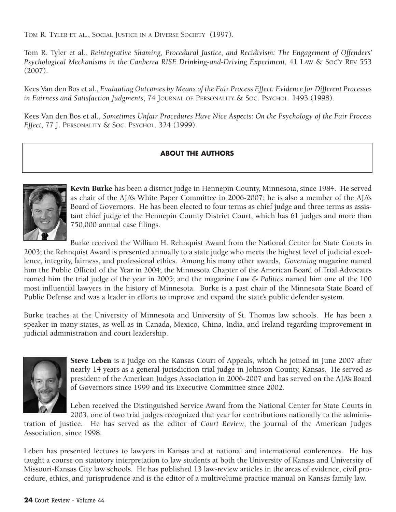TOM R. TYLER ET AL., SOCIAL JUSTICE IN A DIVERSE SOCIETY (1997).

Tom R. Tyler et al., *Reintegrative Shaming, Procedural Justice, and Recidivism: The Engagement of Offenders' Psychological Mechanisms in the Canberra RISE Drinking-and-Driving Experiment,* 41 LAW & SOC'Y REV 553 (2007).

Kees Van den Bos et al., *Evaluating Outcomes by Means of the Fair Process Effect: Evidence for Different Processes in Fairness and Satisfaction Judgments*, 74 JOURNAL OF PERSONALITY & SOC. PSYCHOL. 1493 (1998).

Kees Van den Bos et al., *Sometimes Unfair Procedures Have Nice Aspects: On the Psychology of the Fair Process Effect*, 77 J. PERSONALITY & SOC. PSYCHOL. 324 (1999).

## **ABOUT THE AUTHORS**



**Kevin Burke** has been a district judge in Hennepin County, Minnesota, since 1984. He served as chair of the AJA's White Paper Committee in 2006-2007; he is also a member of the AJA's Board of Governors. He has been elected to four terms as chief judge and three terms as assistant chief judge of the Hennepin County District Court, which has 61 judges and more than 750,000 annual case filings.

Burke received the William H. Rehnquist Award from the National Center for State Courts in 2003; the Rehnquist Award is presented annually to a state judge who meets the highest level of judicial excellence, integrity, fairness, and professional ethics. Among his many other awards, *Governing* magazine named him the Public Official of the Year in 2004; the Minnesota Chapter of the American Board of Trial Advocates named him the trial judge of the year in 2005; and the magazine *Law & Politics* named him one of the 100 most influential lawyers in the history of Minnesota. Burke is a past chair of the Minnesota State Board of Public Defense and was a leader in efforts to improve and expand the state's public defender system.

Burke teaches at the University of Minnesota and University of St. Thomas law schools. He has been a speaker in many states, as well as in Canada, Mexico, China, India, and Ireland regarding improvement in judicial administration and court leadership.



**Steve Leben** is a judge on the Kansas Court of Appeals, which he joined in June 2007 after nearly 14 years as a general-jurisdiction trial judge in Johnson County, Kansas. He served as president of the American Judges Association in 2006-2007 and has served on the AJA's Board of Governors since 1999 and its Executive Committee since 2002.

Leben received the Distinguished Service Award from the National Center for State Courts in 2003, one of two trial judges recognized that year for contributions nationally to the adminis-

tration of justice. He has served as the editor of *Court Review*, the journal of the American Judges Association, since 1998.

Leben has presented lectures to lawyers in Kansas and at national and international conferences. He has taught a course on statutory interpretation to law students at both the University of Kansas and University of Missouri-Kansas City law schools. He has published 13 law-review articles in the areas of evidence, civil procedure, ethics, and jurisprudence and is the editor of a multivolume practice manual on Kansas family law.